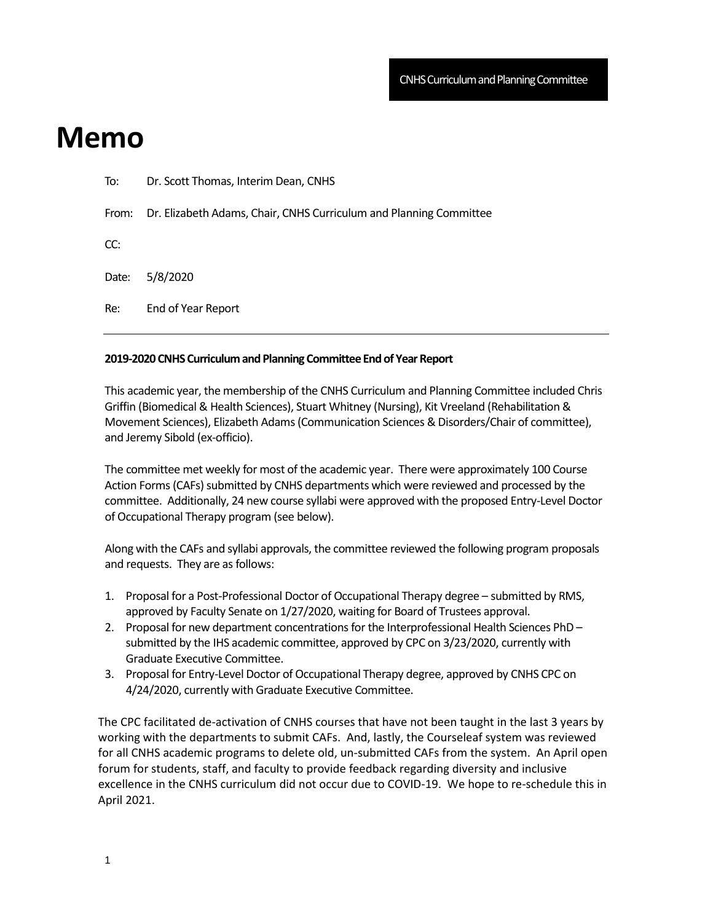## **Memo**

| Re:   | End of Year Report                                                 |
|-------|--------------------------------------------------------------------|
| Date: | 5/8/2020                                                           |
| CC:   |                                                                    |
| From: | Dr. Elizabeth Adams, Chair, CNHS Curriculum and Planning Committee |
| To:   | Dr. Scott Thomas, Interim Dean, CNHS                               |

## **2019-2020 CNHS Curriculum and Planning Committee End of Year Report**

This academic year, the membership of the CNHS Curriculum and Planning Committee included Chris Griffin (Biomedical & Health Sciences), Stuart Whitney (Nursing), Kit Vreeland (Rehabilitation & Movement Sciences), Elizabeth Adams (Communication Sciences & Disorders/Chair of committee), and Jeremy Sibold (ex-officio).

The committee met weekly for most of the academic year. There were approximately 100 Course Action Forms (CAFs) submitted by CNHS departments which were reviewed and processed by the committee. Additionally, 24 new course syllabi were approved with the proposed Entry-Level Doctor of Occupational Therapy program (see below).

Along with the CAFs and syllabi approvals, the committee reviewed the following program proposals and requests. They are as follows:

- 1. Proposal for a Post-Professional Doctor of Occupational Therapy degree submitted by RMS, approved by Faculty Senate on 1/27/2020, waiting for Board of Trustees approval.
- 2. Proposal for new department concentrations for the Interprofessional Health Sciences PhD submitted by the IHS academic committee, approved by CPC on 3/23/2020, currently with Graduate Executive Committee.
- 3. Proposal for Entry-Level Doctor of Occupational Therapy degree, approved by CNHS CPC on 4/24/2020, currently with Graduate Executive Committee.

The CPC facilitated de-activation of CNHS courses that have not been taught in the last 3 years by working with the departments to submit CAFs. And, lastly, the Courseleaf system was reviewed for all CNHS academic programs to delete old, un-submitted CAFs from the system. An April open forum for students, staff, and faculty to provide feedback regarding diversity and inclusive excellence in the CNHS curriculum did not occur due to COVID-19. We hope to re-schedule this in April 2021.